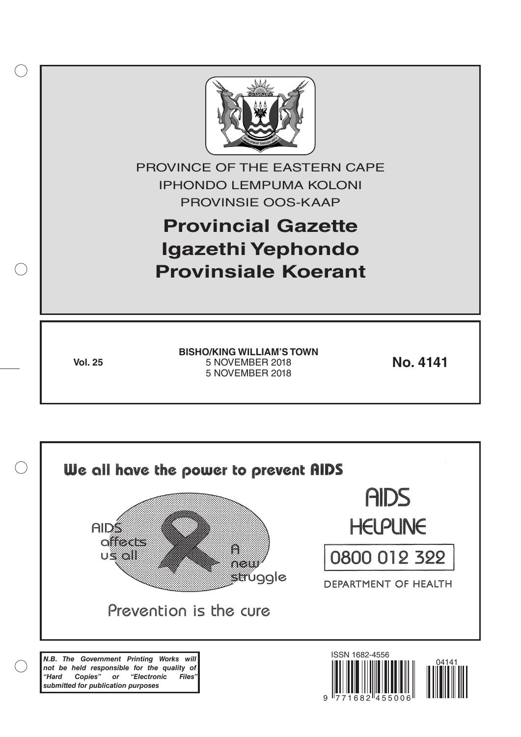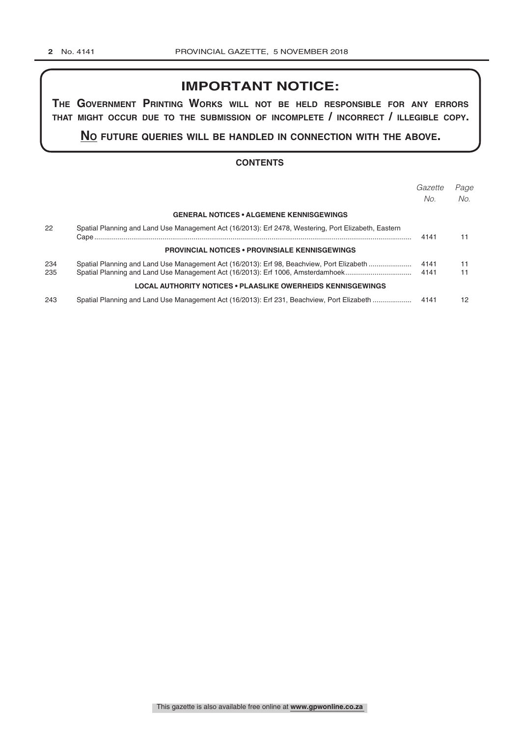# **IMPORTANT NOTICE:**

**The GovernmenT PrinTinG Works Will noT be held resPonsible for any errors ThaT miGhT occur due To The submission of incomPleTe / incorrecT / illeGible coPy.**

**no fuTure queries Will be handled in connecTion WiTh The above.**

#### **CONTENTS**

|            |                                                                                                                                                                              | Gazette      | Page     |
|------------|------------------------------------------------------------------------------------------------------------------------------------------------------------------------------|--------------|----------|
|            |                                                                                                                                                                              | No.          | No.      |
|            | <b>GENERAL NOTICES • ALGEMENE KENNISGEWINGS</b>                                                                                                                              |              |          |
| 22         | Spatial Planning and Land Use Management Act (16/2013): Erf 2478, Westering, Port Elizabeth, Eastern                                                                         | 4141         | 11       |
|            | <b>PROVINCIAL NOTICES • PROVINSIALE KENNISGEWINGS</b>                                                                                                                        |              |          |
| 234<br>235 | Spatial Planning and Land Use Management Act (16/2013): Erf 98, Beachview, Port Elizabeth<br>Spatial Planning and Land Use Management Act (16/2013): Erf 1006, Amsterdamhoek | 4141<br>4141 | 11<br>11 |
|            | <b>LOCAL AUTHORITY NOTICES • PLAASLIKE OWERHEIDS KENNISGEWINGS</b>                                                                                                           |              |          |
| 243        | Spatial Planning and Land Use Management Act (16/2013): Erf 231, Beachview, Port Elizabeth                                                                                   | 4141         | 12       |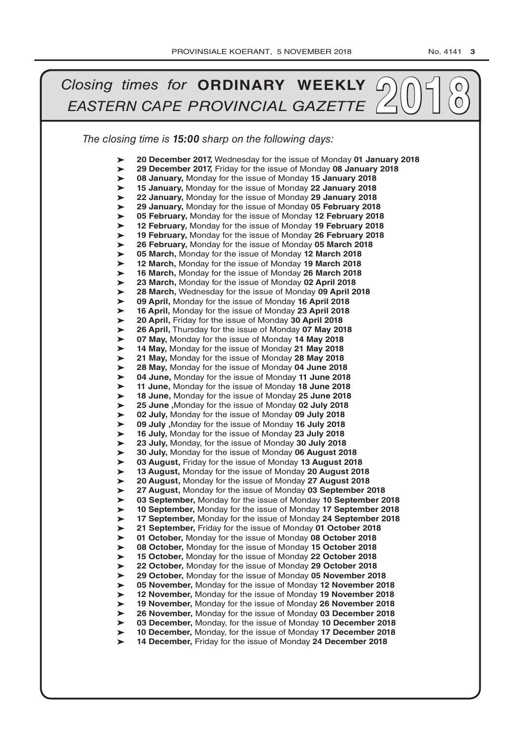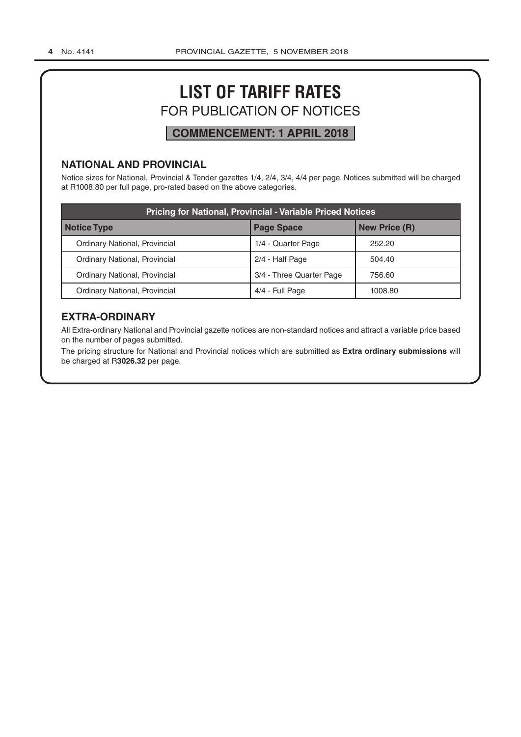# **LIST OF TARIFF RATES** FOR PUBLICATION OF NOTICES

# **COMMENCEMENT: 1 APRIL 2018**

### **NATIONAL AND PROVINCIAL**

Notice sizes for National, Provincial & Tender gazettes 1/4, 2/4, 3/4, 4/4 per page. Notices submitted will be charged at R1008.80 per full page, pro-rated based on the above categories.

| <b>Pricing for National, Provincial - Variable Priced Notices</b> |                          |                      |  |
|-------------------------------------------------------------------|--------------------------|----------------------|--|
| <b>Notice Type</b>                                                | <b>Page Space</b>        | <b>New Price (R)</b> |  |
| Ordinary National, Provincial                                     | 1/4 - Quarter Page       | 252.20               |  |
| Ordinary National, Provincial                                     | 2/4 - Half Page          | 504.40               |  |
| Ordinary National, Provincial                                     | 3/4 - Three Quarter Page | 756.60               |  |
| Ordinary National, Provincial                                     | 4/4 - Full Page          | 1008.80              |  |

# **EXTRA-ORDINARY**

All Extra-ordinary National and Provincial gazette notices are non-standard notices and attract a variable price based on the number of pages submitted.

The pricing structure for National and Provincial notices which are submitted as **Extra ordinary submissions** will be charged at R**3026.32** per page.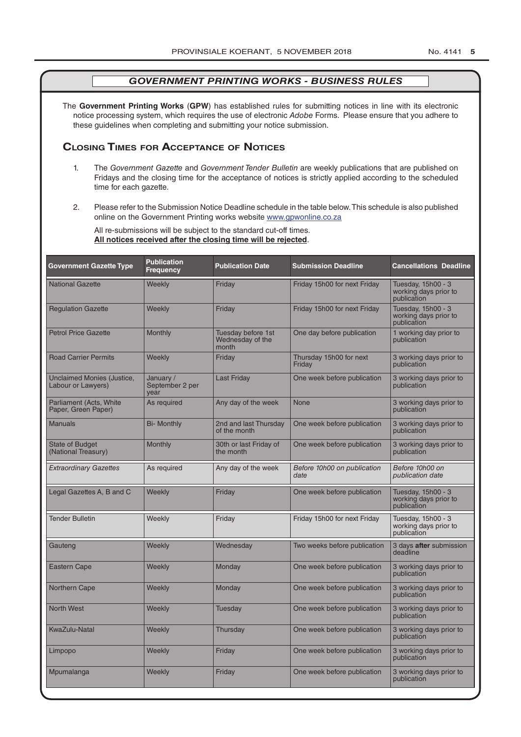The **Government Printing Works** (**GPW**) has established rules for submitting notices in line with its electronic notice processing system, which requires the use of electronic *Adobe* Forms. Please ensure that you adhere to these guidelines when completing and submitting your notice submission.

### **Closing Times for ACCepTAnCe of noTiCes**

- 1. The *Government Gazette* and *Government Tender Bulletin* are weekly publications that are published on Fridays and the closing time for the acceptance of notices is strictly applied according to the scheduled time for each gazette.
- 2. Please refer to the Submission Notice Deadline schedule in the table below. This schedule is also published online on the Government Printing works website www.gpwonline.co.za

All re-submissions will be subject to the standard cut-off times. **All notices received after the closing time will be rejected**.

| <b>Government Gazette Type</b>                   | <b>Publication</b><br><b>Frequency</b> | <b>Publication Date</b>                         | <b>Submission Deadline</b>          | <b>Cancellations Deadline</b>                              |
|--------------------------------------------------|----------------------------------------|-------------------------------------------------|-------------------------------------|------------------------------------------------------------|
| <b>National Gazette</b>                          | Weekly                                 | Friday                                          | Friday 15h00 for next Friday        | Tuesday, 15h00 - 3<br>working days prior to<br>publication |
| <b>Regulation Gazette</b>                        | Weekly                                 | Fridav                                          | Friday 15h00 for next Friday        | Tuesday, 15h00 - 3<br>working days prior to<br>publication |
| <b>Petrol Price Gazette</b>                      | Monthly                                | Tuesday before 1st<br>Wednesday of the<br>month | One day before publication          | 1 working day prior to<br>publication                      |
| <b>Road Carrier Permits</b>                      | Weekly                                 | Friday                                          | Thursday 15h00 for next<br>Friday   | 3 working days prior to<br>publication                     |
| Unclaimed Monies (Justice,<br>Labour or Lawyers) | January /<br>September 2 per<br>vear   | <b>Last Friday</b>                              | One week before publication         | 3 working days prior to<br>publication                     |
| Parliament (Acts, White<br>Paper, Green Paper)   | As required                            | Any day of the week                             | None                                | 3 working days prior to<br>publication                     |
| <b>Manuals</b>                                   | <b>Bi- Monthly</b>                     | 2nd and last Thursday<br>of the month           | One week before publication         | 3 working days prior to<br>publication                     |
| <b>State of Budget</b><br>(National Treasury)    | Monthly                                | 30th or last Friday of<br>the month             | One week before publication         | 3 working days prior to<br>publication                     |
| <b>Extraordinary Gazettes</b>                    | As required                            | Any day of the week                             | Before 10h00 on publication<br>date | Before 10h00 on<br>publication date                        |
| Legal Gazettes A, B and C                        | Weekly                                 | Friday                                          | One week before publication         | Tuesday, 15h00 - 3<br>working days prior to<br>publication |
| <b>Tender Bulletin</b>                           | Weekly                                 | Friday                                          | Friday 15h00 for next Friday        | Tuesday, 15h00 - 3<br>working days prior to<br>publication |
| Gauteng                                          | Weekly                                 | Wednesday                                       | Two weeks before publication        | 3 days after submission<br>deadline                        |
| <b>Eastern Cape</b>                              | Weekly                                 | Monday                                          | One week before publication         | 3 working days prior to<br>publication                     |
| Northern Cape                                    | Weekly                                 | Monday                                          | One week before publication         | 3 working days prior to<br>publication                     |
| <b>North West</b>                                | Weekly                                 | Tuesday                                         | One week before publication         | 3 working days prior to<br>publication                     |
| KwaZulu-Natal                                    | Weekly                                 | Thursday                                        | One week before publication         | 3 working days prior to<br>publication                     |
| Limpopo                                          | Weekly                                 | Friday                                          | One week before publication         | 3 working days prior to<br>publication                     |
| Mpumalanga                                       | Weekly                                 | Friday                                          | One week before publication         | 3 working days prior to<br>publication                     |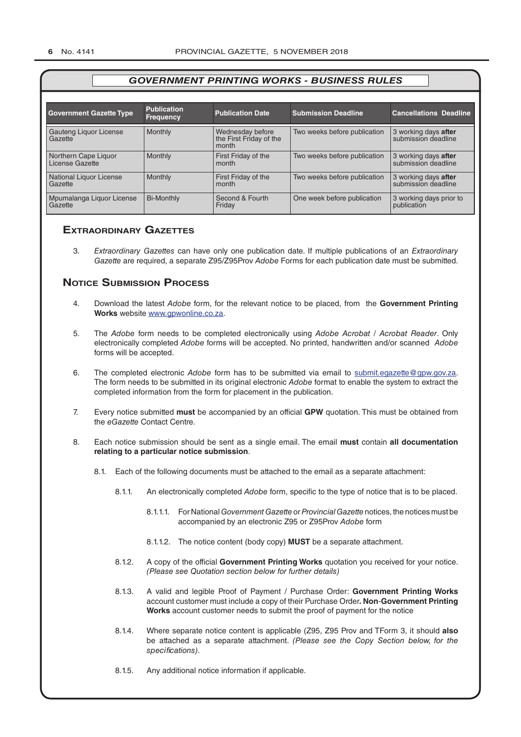| <b>Government Gazette Type</b>          | <b>Publication</b><br><b>Frequency</b> | <b>Publication Date</b>                              | <b>Submission Deadline</b>   | <b>Cancellations Deadline</b>               |
|-----------------------------------------|----------------------------------------|------------------------------------------------------|------------------------------|---------------------------------------------|
| Gauteng Liquor License<br>Gazette       | Monthly                                | Wednesday before<br>the First Friday of the<br>month | Two weeks before publication | 3 working days after<br>submission deadline |
| Northern Cape Liquor<br>License Gazette | Monthly                                | First Friday of the<br>month                         | Two weeks before publication | 3 working days after<br>submission deadline |
| National Liquor License<br>Gazette      | Monthly                                | First Friday of the<br>month                         | Two weeks before publication | 3 working days after<br>submission deadline |
| Mpumalanga Liguor License<br>Gazette    | <b>Bi-Monthly</b>                      | Second & Fourth<br>Friday                            | One week before publication  | 3 working days prior to<br>publication      |

#### **exTrAordinAry gAzeTTes**

3. *Extraordinary Gazettes* can have only one publication date. If multiple publications of an *Extraordinary Gazette* are required, a separate Z95/Z95Prov *Adobe* Forms for each publication date must be submitted.

#### **NOTICE SUBMISSION PROCESS**

- 4. Download the latest *Adobe* form, for the relevant notice to be placed, from the **Government Printing Works** website www.gpwonline.co.za.
- 5. The *Adobe* form needs to be completed electronically using *Adobe Acrobat* / *Acrobat Reader*. Only electronically completed *Adobe* forms will be accepted. No printed, handwritten and/or scanned *Adobe* forms will be accepted.
- 6. The completed electronic *Adobe* form has to be submitted via email to submit.egazette@gpw.gov.za. The form needs to be submitted in its original electronic *Adobe* format to enable the system to extract the completed information from the form for placement in the publication.
- 7. Every notice submitted **must** be accompanied by an official **GPW** quotation. This must be obtained from the *eGazette* Contact Centre.
- 8. Each notice submission should be sent as a single email. The email **must** contain **all documentation relating to a particular notice submission**.
	- 8.1. Each of the following documents must be attached to the email as a separate attachment:
		- 8.1.1. An electronically completed *Adobe* form, specific to the type of notice that is to be placed.
			- 8.1.1.1. For National *Government Gazette* or *Provincial Gazette* notices, the notices must be accompanied by an electronic Z95 or Z95Prov *Adobe* form
			- 8.1.1.2. The notice content (body copy) **MUST** be a separate attachment.
		- 8.1.2. A copy of the official **Government Printing Works** quotation you received for your notice. *(Please see Quotation section below for further details)*
		- 8.1.3. A valid and legible Proof of Payment / Purchase Order: **Government Printing Works** account customer must include a copy of their Purchase Order*.* **Non**-**Government Printing Works** account customer needs to submit the proof of payment for the notice
		- 8.1.4. Where separate notice content is applicable (Z95, Z95 Prov and TForm 3, it should **also** be attached as a separate attachment. *(Please see the Copy Section below, for the specifications)*.
		- 8.1.5. Any additional notice information if applicable.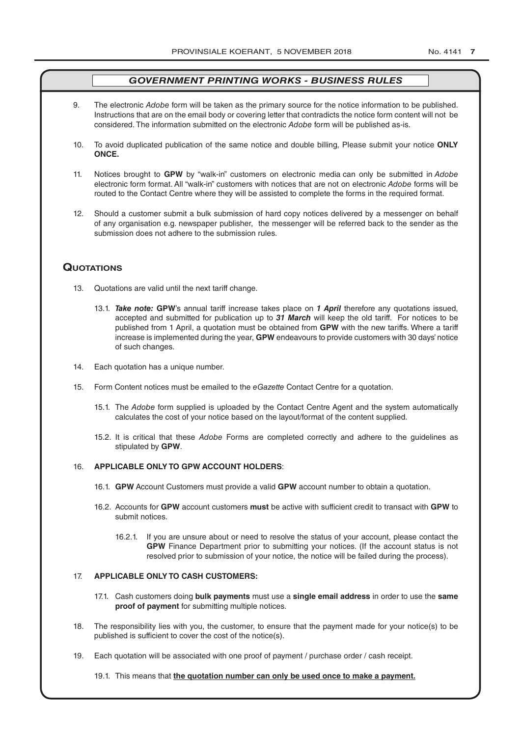- 9. The electronic *Adobe* form will be taken as the primary source for the notice information to be published. Instructions that are on the email body or covering letter that contradicts the notice form content will not be considered. The information submitted on the electronic *Adobe* form will be published as-is.
- 10. To avoid duplicated publication of the same notice and double billing, Please submit your notice **ONLY ONCE.**
- 11. Notices brought to **GPW** by "walk-in" customers on electronic media can only be submitted in *Adobe* electronic form format. All "walk-in" customers with notices that are not on electronic *Adobe* forms will be routed to the Contact Centre where they will be assisted to complete the forms in the required format.
- 12. Should a customer submit a bulk submission of hard copy notices delivered by a messenger on behalf of any organisation e.g. newspaper publisher, the messenger will be referred back to the sender as the submission does not adhere to the submission rules.

#### **QuoTATions**

- 13. Quotations are valid until the next tariff change.
	- 13.1. *Take note:* **GPW**'s annual tariff increase takes place on *1 April* therefore any quotations issued, accepted and submitted for publication up to *31 March* will keep the old tariff. For notices to be published from 1 April, a quotation must be obtained from **GPW** with the new tariffs. Where a tariff increase is implemented during the year, **GPW** endeavours to provide customers with 30 days' notice of such changes.
- 14. Each quotation has a unique number.
- 15. Form Content notices must be emailed to the *eGazette* Contact Centre for a quotation.
	- 15.1. The *Adobe* form supplied is uploaded by the Contact Centre Agent and the system automatically calculates the cost of your notice based on the layout/format of the content supplied.
	- 15.2. It is critical that these *Adobe* Forms are completed correctly and adhere to the guidelines as stipulated by **GPW**.

#### 16. **APPLICABLE ONLY TO GPW ACCOUNT HOLDERS**:

- 16.1. **GPW** Account Customers must provide a valid **GPW** account number to obtain a quotation.
- 16.2. Accounts for **GPW** account customers **must** be active with sufficient credit to transact with **GPW** to submit notices.
	- 16.2.1. If you are unsure about or need to resolve the status of your account, please contact the **GPW** Finance Department prior to submitting your notices. (If the account status is not resolved prior to submission of your notice, the notice will be failed during the process).

#### 17. **APPLICABLE ONLY TO CASH CUSTOMERS:**

- 17.1. Cash customers doing **bulk payments** must use a **single email address** in order to use the **same proof of payment** for submitting multiple notices.
- 18. The responsibility lies with you, the customer, to ensure that the payment made for your notice(s) to be published is sufficient to cover the cost of the notice(s).
- 19. Each quotation will be associated with one proof of payment / purchase order / cash receipt.

19.1. This means that **the quotation number can only be used once to make a payment.**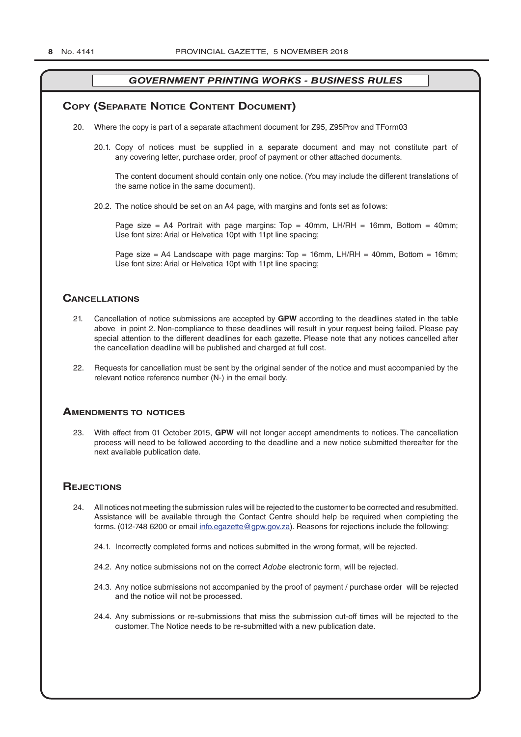#### **COPY (SEPARATE NOTICE CONTENT DOCUMENT)**

- 20. Where the copy is part of a separate attachment document for Z95, Z95Prov and TForm03
	- 20.1. Copy of notices must be supplied in a separate document and may not constitute part of any covering letter, purchase order, proof of payment or other attached documents.

The content document should contain only one notice. (You may include the different translations of the same notice in the same document).

20.2. The notice should be set on an A4 page, with margins and fonts set as follows:

Page size = A4 Portrait with page margins: Top = 40mm, LH/RH = 16mm, Bottom = 40mm; Use font size: Arial or Helvetica 10pt with 11pt line spacing;

Page size = A4 Landscape with page margins:  $Top = 16mm$ , LH/RH = 40mm, Bottom = 16mm; Use font size: Arial or Helvetica 10pt with 11pt line spacing;

#### **CAnCellATions**

- 21. Cancellation of notice submissions are accepted by **GPW** according to the deadlines stated in the table above in point 2. Non-compliance to these deadlines will result in your request being failed. Please pay special attention to the different deadlines for each gazette. Please note that any notices cancelled after the cancellation deadline will be published and charged at full cost.
- 22. Requests for cancellation must be sent by the original sender of the notice and must accompanied by the relevant notice reference number (N-) in the email body.

#### **AmendmenTs To noTiCes**

23. With effect from 01 October 2015, **GPW** will not longer accept amendments to notices. The cancellation process will need to be followed according to the deadline and a new notice submitted thereafter for the next available publication date.

#### **REJECTIONS**

- 24. All notices not meeting the submission rules will be rejected to the customer to be corrected and resubmitted. Assistance will be available through the Contact Centre should help be required when completing the forms. (012-748 6200 or email info.egazette@gpw.gov.za). Reasons for rejections include the following:
	- 24.1. Incorrectly completed forms and notices submitted in the wrong format, will be rejected.
	- 24.2. Any notice submissions not on the correct *Adobe* electronic form, will be rejected.
	- 24.3. Any notice submissions not accompanied by the proof of payment / purchase order will be rejected and the notice will not be processed.
	- 24.4. Any submissions or re-submissions that miss the submission cut-off times will be rejected to the customer. The Notice needs to be re-submitted with a new publication date.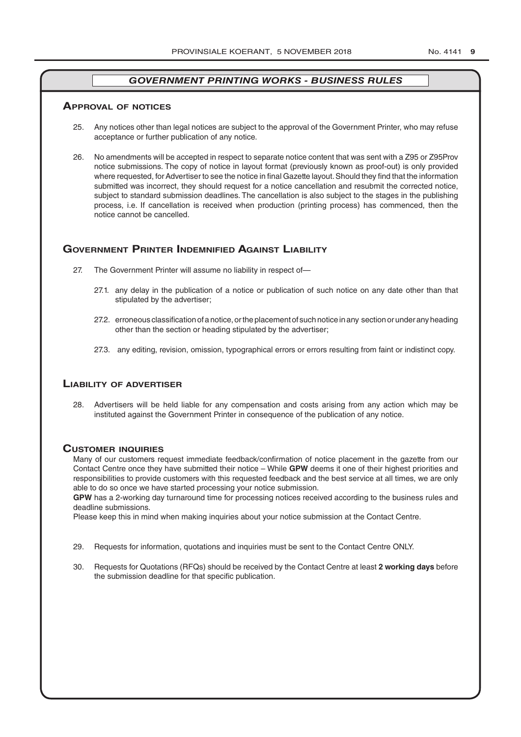#### **ApprovAl of noTiCes**

- 25. Any notices other than legal notices are subject to the approval of the Government Printer, who may refuse acceptance or further publication of any notice.
- 26. No amendments will be accepted in respect to separate notice content that was sent with a Z95 or Z95Prov notice submissions. The copy of notice in layout format (previously known as proof-out) is only provided where requested, for Advertiser to see the notice in final Gazette layout. Should they find that the information submitted was incorrect, they should request for a notice cancellation and resubmit the corrected notice, subject to standard submission deadlines. The cancellation is also subject to the stages in the publishing process, i.e. If cancellation is received when production (printing process) has commenced, then the notice cannot be cancelled.

#### **governmenT prinTer indemnified AgAinsT liAbiliTy**

- 27. The Government Printer will assume no liability in respect of—
	- 27.1. any delay in the publication of a notice or publication of such notice on any date other than that stipulated by the advertiser;
	- 27.2. erroneous classification of a notice, or the placement of such notice in any section or under any heading other than the section or heading stipulated by the advertiser;
	- 27.3. any editing, revision, omission, typographical errors or errors resulting from faint or indistinct copy.

#### **liAbiliTy of AdverTiser**

28. Advertisers will be held liable for any compensation and costs arising from any action which may be instituted against the Government Printer in consequence of the publication of any notice.

#### **CusTomer inQuiries**

Many of our customers request immediate feedback/confirmation of notice placement in the gazette from our Contact Centre once they have submitted their notice – While **GPW** deems it one of their highest priorities and responsibilities to provide customers with this requested feedback and the best service at all times, we are only able to do so once we have started processing your notice submission.

**GPW** has a 2-working day turnaround time for processing notices received according to the business rules and deadline submissions.

Please keep this in mind when making inquiries about your notice submission at the Contact Centre.

- 29. Requests for information, quotations and inquiries must be sent to the Contact Centre ONLY.
- 30. Requests for Quotations (RFQs) should be received by the Contact Centre at least **2 working days** before the submission deadline for that specific publication.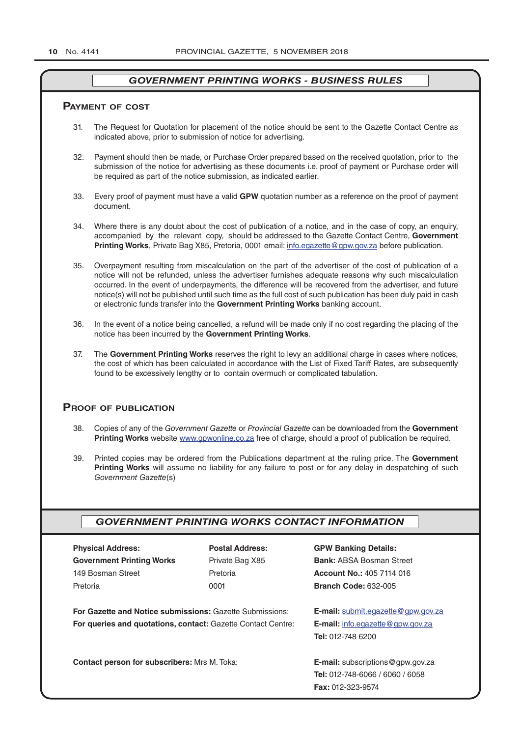#### **pAymenT of CosT**

- 31. The Request for Quotation for placement of the notice should be sent to the Gazette Contact Centre as indicated above, prior to submission of notice for advertising.
- 32. Payment should then be made, or Purchase Order prepared based on the received quotation, prior to the submission of the notice for advertising as these documents i.e. proof of payment or Purchase order will be required as part of the notice submission, as indicated earlier.
- 33. Every proof of payment must have a valid **GPW** quotation number as a reference on the proof of payment document.
- 34. Where there is any doubt about the cost of publication of a notice, and in the case of copy, an enquiry, accompanied by the relevant copy, should be addressed to the Gazette Contact Centre, **Government Printing Works**, Private Bag X85, Pretoria, 0001 email: info.egazette@gpw.gov.za before publication.
- 35. Overpayment resulting from miscalculation on the part of the advertiser of the cost of publication of a notice will not be refunded, unless the advertiser furnishes adequate reasons why such miscalculation occurred. In the event of underpayments, the difference will be recovered from the advertiser, and future notice(s) will not be published until such time as the full cost of such publication has been duly paid in cash or electronic funds transfer into the **Government Printing Works** banking account.
- 36. In the event of a notice being cancelled, a refund will be made only if no cost regarding the placing of the notice has been incurred by the **Government Printing Works**.
- 37. The **Government Printing Works** reserves the right to levy an additional charge in cases where notices, the cost of which has been calculated in accordance with the List of Fixed Tariff Rates, are subsequently found to be excessively lengthy or to contain overmuch or complicated tabulation.

#### **proof of publiCATion**

- 38. Copies of any of the *Government Gazette* or *Provincial Gazette* can be downloaded from the **Government Printing Works** website www.gpwonline.co.za free of charge, should a proof of publication be required.
- 39. Printed copies may be ordered from the Publications department at the ruling price. The **Government Printing Works** will assume no liability for any failure to post or for any delay in despatching of such *Government Gazette*(s)

#### *GOVERNMENT PRINTING WORKS CONTACT INFORMATION*

| <b>PRYSICAL AQUIPSS:</b>         |
|----------------------------------|
| <b>Government Printing Works</b> |
| 149 Bosman Street                |
| Pretoria                         |
|                                  |

**For Gazette and Notice submissions:** Gazette Submissions: **E-mail:** submit.egazette@gpw.gov.za **For queries and quotations, contact:** Gazette Contact Centre: **E-mail:** info.egazette@gpw.gov.za

**Contact person for subscribers:** Mrs M. Toka: **E-mail:** subscriptions@gpw.gov.za

**Physical Address: Postal Address: GPW Banking Details:**

Private Bag X85 **Bank:** ABSA Bosman Street 149 Bosman Street Pretoria **Account No.:** 405 7114 016 Pretoria 0001 **Branch Code:** 632-005

**Tel:** 012-748 6200

**Tel:** 012-748-6066 / 6060 / 6058 **Fax:** 012-323-9574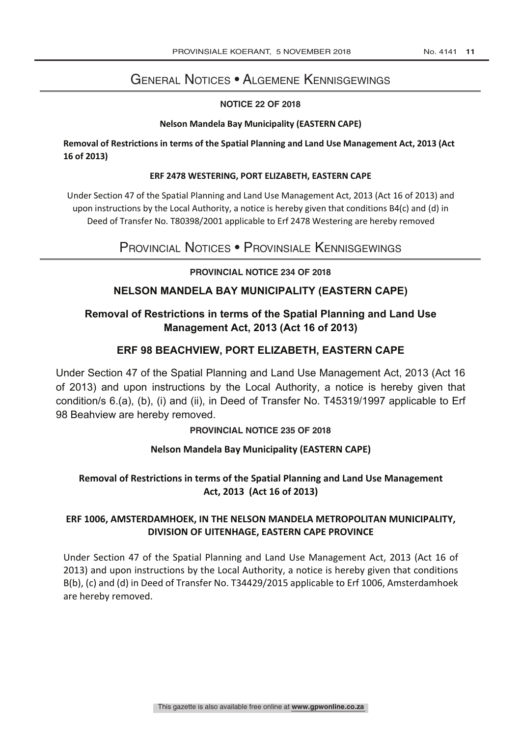# General Notices • Algemene Kennisgewings

#### **NOTICE 22 OF 2018**

#### **Nelson Mandela Bay Municipality (EASTERN CAPE)**

#### **Removal of Restrictions in terms of the Spatial Planning and Land Use Management Act, 2013 (Act 16 of 2013)**

#### **ERF 2478 WESTERING, PORT ELIZABETH, EASTERN CAPE**

Under Section 47 of the Spatial Planning and Land Use Management Act, 2013 (Act 16 of 2013) and upon instructions by the Local Authority, a notice is hereby given that conditions B4(c) and (d) in Deed of Transfer No. T80398/2001 applicable to Erf 2478 Westering are hereby removed

# PROVINCIAL NOTICES • PROVINSIALE KENNISGEWINGS

#### **PROVINCIAL NOTICE 234 OF 2018**

# **NELSON MANDELA BAY MUNICIPALITY (EASTERN CAPE)**

# **Removal of Restrictions in terms of the Spatial Planning and Land Use Management Act, 2013 (Act 16 of 2013)**

### **ERF 98 BEACHVIEW, PORT ELIZABETH, EASTERN CAPE**

Under Section 47 of the Spatial Planning and Land Use Management Act, 2013 (Act 16 of 2013) and upon instructions by the Local Authority, a notice is hereby given that condition/s 6.(a), (b), (i) and (ii), in Deed of Transfer No. T45319/1997 applicable to Erf 98 Beahview are hereby removed.

**PROVINCIAL NOTICE 235 OF 2018** 

### **Nelson Mandela Bay Municipality (EASTERN CAPE)**

# **Removal of Restrictions in terms of the Spatial Planning and Land Use Management Act, 2013 (Act 16 of 2013)**

### **ERF 1006, AMSTERDAMHOEK, IN THE NELSON MANDELA METROPOLITAN MUNICIPALITY, DIVISION OF UITENHAGE, EASTERN CAPE PROVINCE**

Under Section 47 of the Spatial Planning and Land Use Management Act, 2013 (Act 16 of 2013) and upon instructions by the Local Authority, a notice is hereby given that conditions B(b), (c) and (d) in Deed of Transfer No. T34429/2015 applicable to Erf 1006, Amsterdamhoek are hereby removed.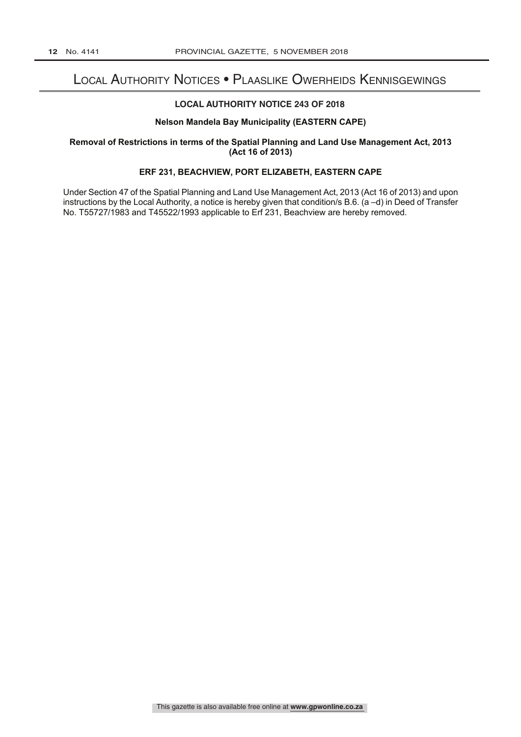# Local Authority Notices • Plaaslike Owerheids Kennisgewings

#### **LOCAL AUTHORITY NOTICE 243 OF 2018**

#### **Nelson Mandela Bay Municipality (EASTERN CAPE)**

#### **Removal of Restrictions in terms of the Spatial Planning and Land Use Management Act, 2013 (Act 16 of 2013)**

#### **ERF 231, BEACHVIEW, PORT ELIZABETH, EASTERN CAPE**

Under Section 47 of the Spatial Planning and Land Use Management Act, 2013 (Act 16 of 2013) and upon instructions by the Local Authority, a notice is hereby given that condition/s B.6. (a –d) in Deed of Transfer No. T55727/1983 and T45522/1993 applicable to Erf 231, Beachview are hereby removed.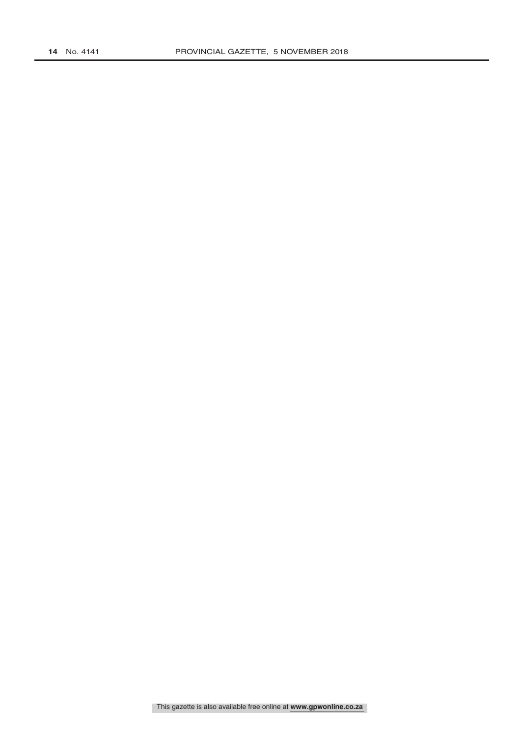This gazette is also available free online at **www.gpwonline.co.za**